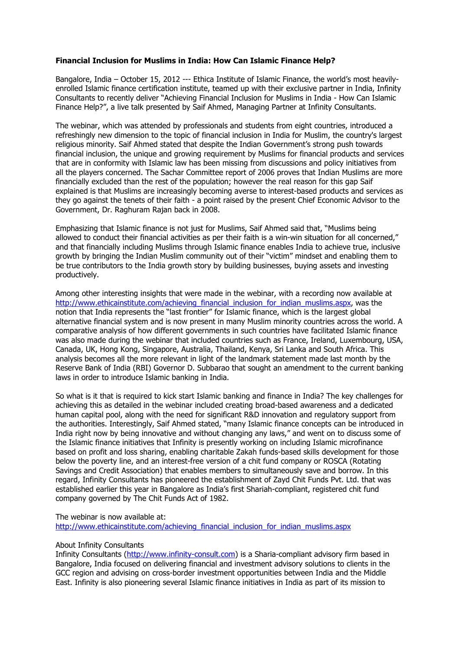## **Financial Inclusion for Muslims in India: How Can Islamic Finance Help?**

Bangalore, India – October 15, 2012 --- Ethica Institute of Islamic Finance, the world's most heavilyenrolled Islamic finance certification institute, teamed up with their exclusive partner in India, Infinity Consultants to recently deliver "Achieving Financial Inclusion for Muslims in India - How Can Islamic Finance Help?", a live talk presented by Saif Ahmed, Managing Partner at Infinity Consultants.

The webinar, which was attended by professionals and students from eight countries, introduced a refreshingly new dimension to the topic of financial inclusion in India for Muslim, the country's largest religious minority. Saif Ahmed stated that despite the Indian Government's strong push towards financial inclusion, the unique and growing requirement by Muslims for financial products and services that are in conformity with Islamic law has been missing from discussions and policy initiatives from all the players concerned. The Sachar Committee report of 2006 proves that Indian Muslims are more financially excluded than the rest of the population; however the real reason for this gap Saif explained is that Muslims are increasingly becoming averse to interest-based products and services as they go against the tenets of their faith - a point raised by the present Chief Economic Advisor to the Government, Dr. Raghuram Rajan back in 2008.

Emphasizing that Islamic finance is not just for Muslims, Saif Ahmed said that, "Muslims being allowed to conduct their financial activities as per their faith is a win-win situation for all concerned," and that financially including Muslims through Islamic finance enables India to achieve true, inclusive growth by bringing the Indian Muslim community out of their "victim" mindset and enabling them to be true contributors to the India growth story by building businesses, buying assets and investing productively.

Among other interesting insights that were made in the webinar, with a recording now available at http://www.ethicainstitute.com/achieving\_financial\_inclusion\_for\_indian\_muslims.aspx, was the notion that India represents the "last frontier" for Islamic finance, which is the largest global alternative financial system and is now present in many Muslim minority countries across the world. A comparative analysis of how different governments in such countries have facilitated Islamic finance was also made during the webinar that included countries such as France, Ireland, Luxembourg, USA, Canada, UK, Hong Kong, Singapore, Australia, Thailand, Kenya, Sri Lanka and South Africa. This analysis becomes all the more relevant in light of the landmark statement made last month by the Reserve Bank of India (RBI) Governor D. Subbarao that sought an amendment to the current banking laws in order to introduce Islamic banking in India.

So what is it that is required to kick start Islamic banking and finance in India? The key challenges for achieving this as detailed in the webinar included creating broad-based awareness and a dedicated human capital pool, along with the need for significant R&D innovation and regulatory support from the authorities. Interestingly, Saif Ahmed stated, "many Islamic finance concepts can be introduced in India right now by being innovative and without changing any laws," and went on to discuss some of the Islamic finance initiatives that Infinity is presently working on including Islamic microfinance based on profit and loss sharing, enabling charitable Zakah funds-based skills development for those below the poverty line, and an interest-free version of a chit fund company or ROSCA (Rotating Savings and Credit Association) that enables members to simultaneously save and borrow. In this regard, Infinity Consultants has pioneered the establishment of Zayd Chit Funds Pvt. Ltd. that was established earlier this year in Bangalore as India's first Shariah-compliant, registered chit fund company governed by The Chit Funds Act of 1982.

The webinar is now available at:

http://www.ethicainstitute.com/achieving\_financial\_inclusion\_for\_indian\_muslims.aspx

## About Infinity Consultants

Infinity Consultants (http://www.infinity-consult.com) is a Sharia-compliant advisory firm based in Bangalore, India focused on delivering financial and investment advisory solutions to clients in the GCC region and advising on cross-border investment opportunities between India and the Middle East. Infinity is also pioneering several Islamic finance initiatives in India as part of its mission to